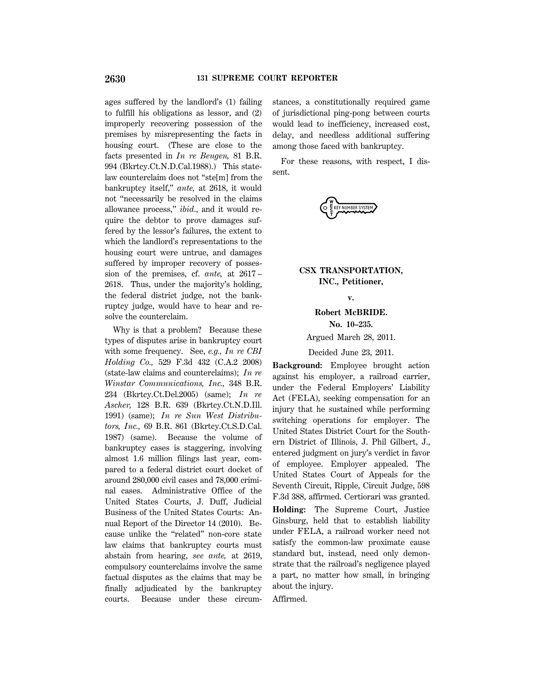ages suffered by the landlord's (1) failing to fulfill his obligations as lessor, and (2) improperly recovering possession of the premises by misrepresenting the facts in housing court. (These are close to the facts presented in *In re Beugen,* 81 B.R. 994 (Bkrtcy.Ct.N.D.Cal.1988).) This statelaw counterclaim does not ''ste[m] from the bankruptcy itself,'' *ante,* at 2618, it would not ''necessarily be resolved in the claims allowance process,'' *ibid*., and it would require the debtor to prove damages suffered by the lessor's failures, the extent to which the landlord's representations to the housing court were untrue, and damages suffered by improper recovery of possession of the premises, cf. *ante,* at 2617 – 2618. Thus, under the majority's holding, the federal district judge, not the bankruptcy judge, would have to hear and resolve the counterclaim.

Why is that a problem? Because these types of disputes arise in bankruptcy court with some frequency. See, *e.g., In re CBI Holding Co.,* 529 F.3d 432 (C.A.2 2008) (state-law claims and counterclaims); *In re Winstar Communications, Inc.,* 348 B.R. 234 (Bkrtcy.Ct.Del.2005) (same); *In re Ascher,* 128 B.R. 639 (Bkrtcy.Ct.N.D.Ill. 1991) (same); *In re Sun West Distributors, Inc.,* 69 B.R. 861 (Bkrtcy.Ct.S.D.Cal. 1987) (same). Because the volume of bankruptcy cases is staggering, involving almost 1.6 million filings last year, compared to a federal district court docket of around 280,000 civil cases and 78,000 criminal cases. Administrative Office of the United States Courts, J. Duff, Judicial Business of the United States Courts: Annual Report of the Director 14 (2010). Because unlike the ''related'' non-core state law claims that bankruptcy courts must abstain from hearing, *see ante,* at 2619, compulsory counterclaims involve the same factual disputes as the claims that may be finally adjudicated by the bankruptcy courts. Because under these circumstances, a constitutionally required game of jurisdictional ping-pong between courts would lead to inefficiency, increased cost, delay, and needless additional suffering among those faced with bankruptcy.

For these reasons, with respect, I dissent.

EY NUMBER SYSTEM

# **CSX TRANSPORTATION, INC., Petitioner,**

**v.**

# **Robert McBRIDE.**

**No. 10–235.**

Argued March 28, 2011.

Decided June 23, 2011.

**Background:** Employee brought action against his employer, a railroad carrier, under the Federal Employers' Liability Act (FELA), seeking compensation for an injury that he sustained while performing switching operations for employer. The United States District Court for the Southern District of Illinois, J. Phil Gilbert, J., entered judgment on jury's verdict in favor of employee. Employer appealed. The United States Court of Appeals for the Seventh Circuit, Ripple, Circuit Judge, 598 F.3d 388, affirmed. Certiorari was granted. **Holding:** The Supreme Court, Justice Ginsburg, held that to establish liability under FELA, a railroad worker need not

satisfy the common-law proximate cause standard but, instead, need only demonstrate that the railroad's negligence played a part, no matter how small, in bringing about the injury.

Affirmed.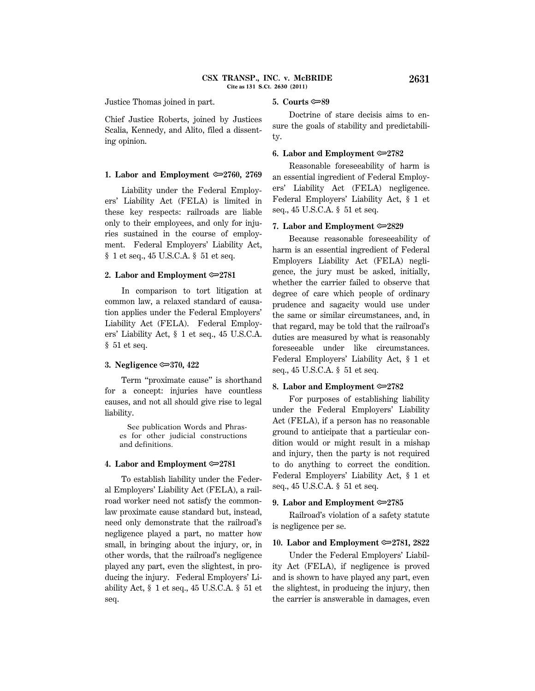Justice Thomas joined in part.

# **5. Courts**  $\infty$ **89**

Chief Justice Roberts, joined by Justices Scalia, Kennedy, and Alito, filed a dissenting opinion.

#### **1. Labor and Employment** O**2760, 2769**

Liability under the Federal Employers' Liability Act (FELA) is limited in these key respects: railroads are liable only to their employees, and only for injuries sustained in the course of employment. Federal Employers' Liability Act, § 1 et seq., 45 U.S.C.A. § 51 et seq.

#### **2. Labor and Employment** O**2781**

In comparison to tort litigation at common law, a relaxed standard of causation applies under the Federal Employers' Liability Act (FELA). Federal Employers' Liability Act, § 1 et seq., 45 U.S.C.A. § 51 et seq.

# **3. Negligence**  $\approx 370, 422$

Term ''proximate cause'' is shorthand for a concept: injuries have countless causes, and not all should give rise to legal liability.

 See publication Words and Phrases for other judicial constructions and definitions.

### **4. Labor and Employment** O**2781**

To establish liability under the Federal Employers' Liability Act (FELA), a railroad worker need not satisfy the commonlaw proximate cause standard but, instead, need only demonstrate that the railroad's negligence played a part, no matter how small, in bringing about the injury, or, in other words, that the railroad's negligence played any part, even the slightest, in producing the injury. Federal Employers' Liability Act, § 1 et seq., 45 U.S.C.A. § 51 et seq.

Doctrine of stare decisis aims to ensure the goals of stability and predictability.

## **6.** Labor and Employment  $\approx 2782$

Reasonable foreseeability of harm is an essential ingredient of Federal Employers' Liability Act (FELA) negligence. Federal Employers' Liability Act, § 1 et seq., 45 U.S.C.A. § 51 et seq.

#### **7.** Labor and Employment  $\approx 2829$

Because reasonable foreseeability of harm is an essential ingredient of Federal Employers Liability Act (FELA) negligence, the jury must be asked, initially, whether the carrier failed to observe that degree of care which people of ordinary prudence and sagacity would use under the same or similar circumstances, and, in that regard, may be told that the railroad's duties are measured by what is reasonably foreseeable under like circumstances. Federal Employers' Liability Act, § 1 et seq., 45 U.S.C.A. § 51 et seq.

### **8. Labor and Employment**  $\approx 2782$

For purposes of establishing liability under the Federal Employers' Liability Act (FELA), if a person has no reasonable ground to anticipate that a particular condition would or might result in a mishap and injury, then the party is not required to do anything to correct the condition. Federal Employers' Liability Act, § 1 et seq., 45 U.S.C.A. § 51 et seq.

#### **9.** Labor and Employment  $\approx 2785$

Railroad's violation of a safety statute is negligence per se.

## **10. Labor and Employment**  $\infty$  **2781, 2822**

Under the Federal Employers' Liability Act (FELA), if negligence is proved and is shown to have played any part, even the slightest, in producing the injury, then the carrier is answerable in damages, even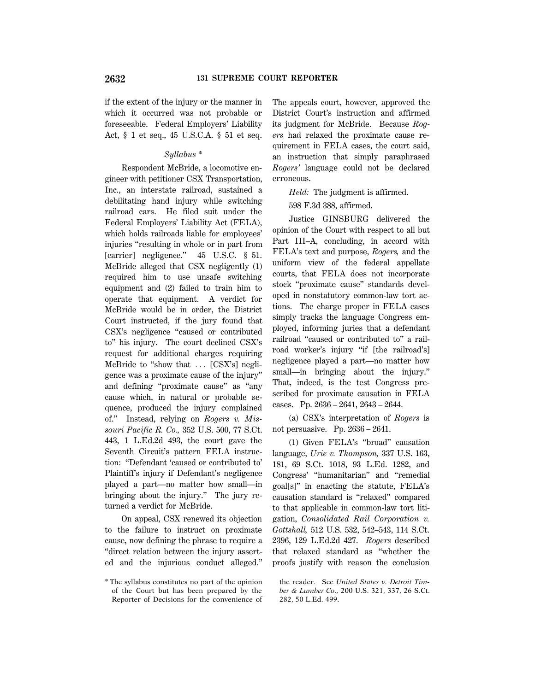if the extent of the injury or the manner in which it occurred was not probable or foreseeable. Federal Employers' Liability Act, § 1 et seq., 45 U.S.C.A. § 51 et seq.

# *Syllabus \**

Respondent McBride, a locomotive engineer with petitioner CSX Transportation, Inc., an interstate railroad, sustained a debilitating hand injury while switching railroad cars. He filed suit under the Federal Employers' Liability Act (FELA), which holds railroads liable for employees' injuries ''resulting in whole or in part from [carrier] negligence." 45 U.S.C. § 51. McBride alleged that CSX negligently (1) required him to use unsafe switching equipment and (2) failed to train him to operate that equipment. A verdict for McBride would be in order, the District Court instructed, if the jury found that CSX's negligence ''caused or contributed to'' his injury. The court declined CSX's request for additional charges requiring McBride to "show that  $\ldots$  [CSX's] negligence was a proximate cause of the injury'' and defining ''proximate cause'' as ''any cause which, in natural or probable sequence, produced the injury complained of.'' Instead, relying on *Rogers v. Missouri Pacific R. Co.,* 352 U.S. 500, 77 S.Ct. 443, 1 L.Ed.2d 493, the court gave the Seventh Circuit's pattern FELA instruction: ''Defendant 'caused or contributed to' Plaintiff's injury if Defendant's negligence played a part—no matter how small—in bringing about the injury.'' The jury returned a verdict for McBride.

On appeal, CSX renewed its objection to the failure to instruct on proximate cause, now defining the phrase to require a ''direct relation between the injury asserted and the injurious conduct alleged.'' The appeals court, however, approved the District Court's instruction and affirmed its judgment for McBride. Because *Rogers* had relaxed the proximate cause requirement in FELA cases, the court said, an instruction that simply paraphrased *Rogers'* language could not be declared erroneous.

*Held:* The judgment is affirmed.

598 F.3d 388, affirmed.

Justice GINSBURG delivered the opinion of the Court with respect to all but Part III–A, concluding, in accord with FELA's text and purpose, *Rogers,* and the uniform view of the federal appellate courts, that FELA does not incorporate stock ''proximate cause'' standards developed in nonstatutory common-law tort actions. The charge proper in FELA cases simply tracks the language Congress employed, informing juries that a defendant railroad "caused or contributed to" a railroad worker's injury ''if [the railroad's] negligence played a part—no matter how small—in bringing about the injury.'' That, indeed, is the test Congress prescribed for proximate causation in FELA cases. Pp. 2636 – 2641, 2643 – 2644.

(a) CSX's interpretation of *Rogers* is not persuasive. Pp. 2636 – 2641.

(1) Given FELA's ''broad'' causation language, *Urie v. Thompson,* 337 U.S. 163, 181, 69 S.Ct. 1018, 93 L.Ed. 1282, and Congress' "humanitarian" and "remedial goal[s]'' in enacting the statute, FELA's causation standard is ''relaxed'' compared to that applicable in common-law tort litigation, *Consolidated Rail Corporation v. Gottshall,* 512 U.S. 532, 542–543, 114 S.Ct. 2396, 129 L.Ed.2d 427. *Rogers* described that relaxed standard as ''whether the proofs justify with reason the conclusion

<sup>\*</sup> The syllabus constitutes no part of the opinion of the Court but has been prepared by the Reporter of Decisions for the convenience of

the reader. See *United States v. Detroit Timber & Lumber Co.,* 200 U.S. 321, 337, 26 S.Ct. 282, 50 L.Ed. 499.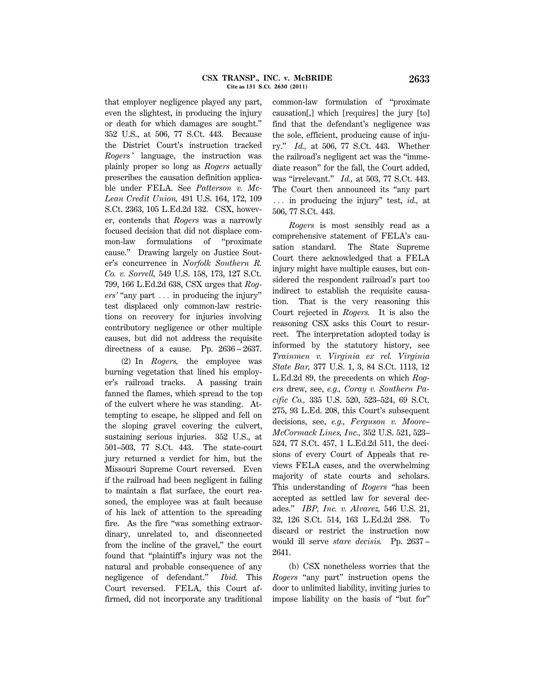that employer negligence played any part, even the slightest, in producing the injury or death for which damages are sought.'' 352 U.S., at 506, 77 S.Ct. 443. Because the District Court's instruction tracked *Rogers* ' language, the instruction was plainly proper so long as *Rogers* actually prescribes the causation definition applicable under FELA. See *Patterson v. Mc-Lean Credit Union,* 491 U.S. 164, 172, 109 S.Ct. 2363, 105 L.Ed.2d 132. CSX, however, contends that *Rogers* was a narrowly focused decision that did not displace common-law formulations of ''proximate cause.'' Drawing largely on Justice Souter's concurrence in *Norfolk Southern R. Co. v. Sorrell,* 549 U.S. 158, 173, 127 S.Ct. 799, 166 L.Ed.2d 638, CSX urges that *Rog* $ers'$  "any part  $\ldots$  in producing the injury" test displaced only common-law restrictions on recovery for injuries involving contributory negligence or other multiple causes, but did not address the requisite directness of a cause. Pp. 2636 – 2637.

(2) In *Rogers,* the employee was burning vegetation that lined his employer's railroad tracks. A passing train fanned the flames, which spread to the top of the culvert where he was standing. Attempting to escape, he slipped and fell on the sloping gravel covering the culvert, sustaining serious injuries. 352 U.S., at 501–503, 77 S.Ct. 443. The state-court jury returned a verdict for him, but the Missouri Supreme Court reversed. Even if the railroad had been negligent in failing to maintain a flat surface, the court reasoned, the employee was at fault because of his lack of attention to the spreading fire. As the fire "was something extraordinary, unrelated to, and disconnected from the incline of the gravel,'' the court found that ''plaintiff's injury was not the natural and probable consequence of any negligence of defendant.'' *Ibid.* This Court reversed. FELA, this Court affirmed, did not incorporate any traditional

common-law formulation of ''proximate causation[,] which [requires] the jury [to] find that the defendant's negligence was the sole, efficient, producing cause of injury.'' *Id.,* at 506, 77 S.Ct. 443. Whether the railroad's negligent act was the ''immediate reason'' for the fall, the Court added, was ''irrelevant.'' *Id.,* at 503, 77 S.Ct. 443. The Court then announced its ''any part ... in producing the injury" test, *id.*, at 506, 77 S.Ct. 443.

*Rogers* is most sensibly read as a comprehensive statement of FELA's causation standard. The State Supreme Court there acknowledged that a FELA injury might have multiple causes, but considered the respondent railroad's part too indirect to establish the requisite causation. That is the very reasoning this Court rejected in *Rogers.* It is also the reasoning CSX asks this Court to resurrect. The interpretation adopted today is informed by the statutory history, see *Trainmen v. Virginia ex rel. Virginia State Bar,* 377 U.S. 1, 3, 84 S.Ct. 1113, 12 L.Ed.2d 89, the precedents on which *Rogers* drew, see, *e.g., Coray v. Southern Pacific Co.,* 335 U.S. 520, 523–524, 69 S.Ct. 275, 93 L.Ed. 208, this Court's subsequent decisions, see, *e.g., Ferguson v. Moore– McCormack Lines, Inc.,* 352 U.S. 521, 523– 524, 77 S.Ct. 457, 1 L.Ed.2d 511, the decisions of every Court of Appeals that reviews FELA cases, and the overwhelming majority of state courts and scholars. This understanding of *Rogers* ''has been accepted as settled law for several decades.'' *IBP, Inc. v. Alvarez,* 546 U.S. 21, 32, 126 S.Ct. 514, 163 L.Ed.2d 288. To discard or restrict the instruction now would ill serve *stare decisis.* Pp. 2637 – 2641.

(b) CSX nonetheless worries that the *Rogers* "any part" instruction opens the door to unlimited liability, inviting juries to impose liability on the basis of ''but for''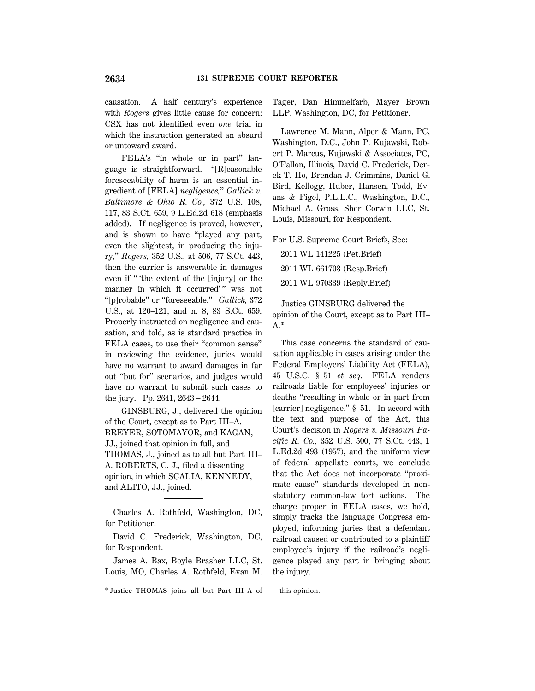causation. A half century's experience with *Rogers* gives little cause for concern: CSX has not identified even *one* trial in which the instruction generated an absurd or untoward award.

FELA's "in whole or in part" language is straightforward. ''[R]easonable foreseeability of harm is an essential ingredient of [FELA] *negligence,*'' *Gallick v. Baltimore & Ohio R. Co.,* 372 U.S. 108, 117, 83 S.Ct. 659, 9 L.Ed.2d 618 (emphasis added). If negligence is proved, however, and is shown to have ''played any part, even the slightest, in producing the injury,'' *Rogers,* 352 U.S., at 506, 77 S.Ct. 443, then the carrier is answerable in damages even if '' 'the extent of the [injury] or the manner in which it occurred'" was not ''[p]robable'' or ''foreseeable.'' *Gallick,* 372 U.S., at 120–121, and n. 8, 83 S.Ct. 659. Properly instructed on negligence and causation, and told, as is standard practice in FELA cases, to use their "common sense" in reviewing the evidence, juries would have no warrant to award damages in far out ''but for'' scenarios, and judges would have no warrant to submit such cases to the jury. Pp. 2641, 2643 – 2644.

GINSBURG, J., delivered the opinion of the Court, except as to Part III–A. BREYER, SOTOMAYOR, and KAGAN, JJ., joined that opinion in full, and THOMAS, J., joined as to all but Part III– A. ROBERTS, C. J., filed a dissenting opinion, in which SCALIA, KENNEDY, and ALITO, JJ., joined.

Charles A. Rothfeld, Washington, DC, for Petitioner.

David C. Frederick, Washington, DC, for Respondent.

James A. Bax, Boyle Brasher LLC, St. Louis, MO, Charles A. Rothfeld, Evan M.

\* Justice THOMAS joins all but Part III–A of this opinion.

Tager, Dan Himmelfarb, Mayer Brown LLP, Washington, DC, for Petitioner.

Lawrence M. Mann, Alper & Mann, PC, Washington, D.C., John P. Kujawski, Robert P. Marcus, Kujawski & Associates, PC, O'Fallon, Illinois, David C. Frederick, Derek T. Ho, Brendan J. Crimmins, Daniel G. Bird, Kellogg, Huber, Hansen, Todd, Evans & Figel, P.L.L.C., Washington, D.C., Michael A. Gross, Sher Corwin LLC, St. Louis, Missouri, for Respondent.

For U.S. Supreme Court Briefs, See:

2011 WL 141225 (Pet.Brief)

2011 WL 661703 (Resp.Brief)

2011 WL 970339 (Reply.Brief)

Justice GINSBURG delivered the opinion of the Court, except as to Part III– A.\*

This case concerns the standard of causation applicable in cases arising under the Federal Employers' Liability Act (FELA), 45 U.S.C. § 51 *et seq*. FELA renders railroads liable for employees' injuries or deaths ''resulting in whole or in part from [carrier] negligence." § 51. In accord with the text and purpose of the Act, this Court's decision in *Rogers v. Missouri Pacific R. Co.,* 352 U.S. 500, 77 S.Ct. 443, 1 L.Ed.2d 493 (1957), and the uniform view of federal appellate courts, we conclude that the Act does not incorporate ''proximate cause'' standards developed in nonstatutory common-law tort actions. The charge proper in FELA cases, we hold, simply tracks the language Congress employed, informing juries that a defendant railroad caused or contributed to a plaintiff employee's injury if the railroad's negligence played any part in bringing about the injury.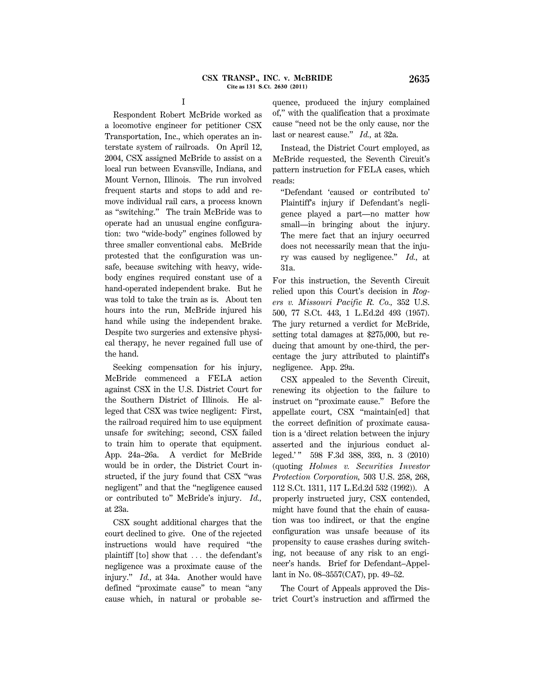Respondent Robert McBride worked as a locomotive engineer for petitioner CSX Transportation, Inc., which operates an interstate system of railroads. On April 12, 2004, CSX assigned McBride to assist on a local run between Evansville, Indiana, and Mount Vernon, Illinois. The run involved frequent starts and stops to add and remove individual rail cars, a process known as ''switching.'' The train McBride was to operate had an unusual engine configuration: two ''wide-body'' engines followed by three smaller conventional cabs. McBride protested that the configuration was unsafe, because switching with heavy, widebody engines required constant use of a hand-operated independent brake. But he was told to take the train as is. About ten hours into the run, McBride injured his hand while using the independent brake. Despite two surgeries and extensive physical therapy, he never regained full use of the hand.

I

Seeking compensation for his injury, McBride commenced a FELA action against CSX in the U.S. District Court for the Southern District of Illinois. He alleged that CSX was twice negligent: First, the railroad required him to use equipment unsafe for switching; second, CSX failed to train him to operate that equipment. App. 24a–26a. A verdict for McBride would be in order, the District Court instructed, if the jury found that CSX ''was negligent'' and that the ''negligence caused or contributed to'' McBride's injury. *Id.,* at 23a.

CSX sought additional charges that the court declined to give. One of the rejected instructions would have required ''the plaintiff  $[t_0]$  show that  $\ldots$  the defendant's negligence was a proximate cause of the injury.'' *Id.,* at 34a. Another would have defined ''proximate cause'' to mean ''any cause which, in natural or probable se-

quence, produced the injury complained of,'' with the qualification that a proximate cause ''need not be the only cause, nor the last or nearest cause.'' *Id.,* at 32a.

Instead, the District Court employed, as McBride requested, the Seventh Circuit's pattern instruction for FELA cases, which reads:

''Defendant 'caused or contributed to' Plaintiff's injury if Defendant's negligence played a part—no matter how small—in bringing about the injury. The mere fact that an injury occurred does not necessarily mean that the injury was caused by negligence.'' *Id.,* at 31a.

For this instruction, the Seventh Circuit relied upon this Court's decision in *Rogers v. Missouri Pacific R. Co.,* 352 U.S. 500, 77 S.Ct. 443, 1 L.Ed.2d 493 (1957). The jury returned a verdict for McBride, setting total damages at \$275,000, but reducing that amount by one-third, the percentage the jury attributed to plaintiff's negligence. App. 29a.

CSX appealed to the Seventh Circuit, renewing its objection to the failure to instruct on ''proximate cause.'' Before the appellate court, CSX ''maintain[ed] that the correct definition of proximate causation is a 'direct relation between the injury asserted and the injurious conduct alleged.' '' 598 F.3d 388, 393, n. 3 (2010) (quoting *Holmes v. Securities Investor Protection Corporation,* 503 U.S. 258, 268, 112 S.Ct. 1311, 117 L.Ed.2d 532 (1992)). A properly instructed jury, CSX contended, might have found that the chain of causation was too indirect, or that the engine configuration was unsafe because of its propensity to cause crashes during switching, not because of any risk to an engineer's hands. Brief for Defendant–Appellant in No. 08–3557(CA7), pp. 49–52.

The Court of Appeals approved the District Court's instruction and affirmed the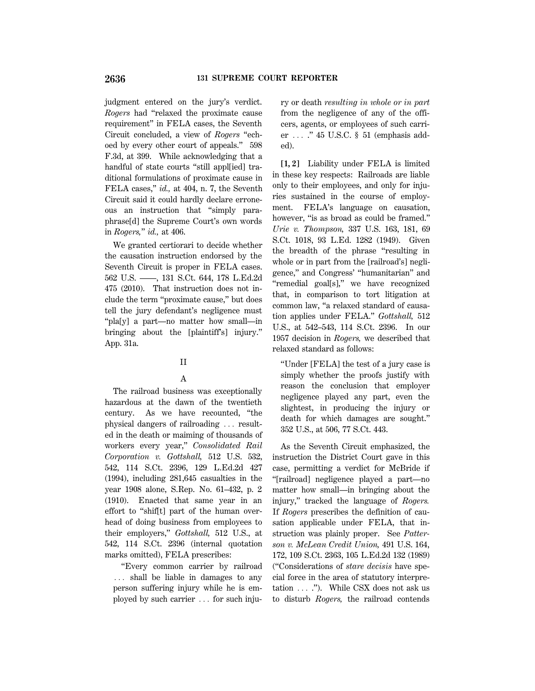judgment entered on the jury's verdict. *Rogers* had ''relaxed the proximate cause requirement'' in FELA cases, the Seventh Circuit concluded, a view of *Rogers* ''echoed by every other court of appeals.'' 598 F.3d, at 399. While acknowledging that a handful of state courts ''still appl[ied] traditional formulations of proximate cause in FELA cases,'' *id.,* at 404, n. 7, the Seventh Circuit said it could hardly declare erroneous an instruction that ''simply paraphrase[d] the Supreme Court's own words in *Rogers,*'' *id.,* at 406.

We granted certiorari to decide whether the causation instruction endorsed by the Seventh Circuit is proper in FELA cases. 562 U.S. ––––, 131 S.Ct. 644, 178 L.Ed.2d 475 (2010). That instruction does not include the term ''proximate cause,'' but does tell the jury defendant's negligence must ''pla[y] a part—no matter how small—in bringing about the [plaintiff's] injury.'' App. 31a.

## II

# A

The railroad business was exceptionally hazardous at the dawn of the twentieth century. As we have recounted, ''the physical dangers of railroading  $\ldots$  resulted in the death or maiming of thousands of workers every year,'' *Consolidated Rail Corporation v. Gottshall,* 512 U.S. 532, 542, 114 S.Ct. 2396, 129 L.Ed.2d 427 (1994), including 281,645 casualties in the year 1908 alone, S.Rep. No. 61–432, p. 2 (1910). Enacted that same year in an effort to ''shif[t] part of the human overhead of doing business from employees to their employers,'' *Gottshall,* 512 U.S., at 542, 114 S.Ct. 2396 (internal quotation marks omitted), FELA prescribes:

''Every common carrier by railroad ... shall be liable in damages to any person suffering injury while he is employed by such carrier  $\ldots$  for such injury or death *resulting in whole or in part* from the negligence of any of the officers, agents, or employees of such carrier  $\ldots$  ." 45 U.S.C. § 51 (emphasis added).

**[1, 2]** Liability under FELA is limited in these key respects: Railroads are liable only to their employees, and only for injuries sustained in the course of employment. FELA's language on causation, however, "is as broad as could be framed." *Urie v. Thompson,* 337 U.S. 163, 181, 69 S.Ct. 1018, 93 L.Ed. 1282 (1949). Given the breadth of the phrase ''resulting in whole or in part from the [railroad's] negligence,'' and Congress' ''humanitarian'' and "remedial goal[s]," we have recognized that, in comparison to tort litigation at common law, ''a relaxed standard of causation applies under FELA.'' *Gottshall,* 512 U.S., at 542–543, 114 S.Ct. 2396. In our 1957 decision in *Rogers,* we described that relaxed standard as follows:

''Under [FELA] the test of a jury case is simply whether the proofs justify with reason the conclusion that employer negligence played any part, even the slightest, in producing the injury or death for which damages are sought.'' 352 U.S., at 506, 77 S.Ct. 443.

As the Seventh Circuit emphasized, the instruction the District Court gave in this case, permitting a verdict for McBride if ''[railroad] negligence played a part—no matter how small—in bringing about the injury,'' tracked the language of *Rogers.* If *Rogers* prescribes the definition of causation applicable under FELA, that instruction was plainly proper. See *Patterson v. McLean Credit Union,* 491 U.S. 164, 172, 109 S.Ct. 2363, 105 L.Ed.2d 132 (1989) (''Considerations of *stare decisis* have special force in the area of statutory interpretation  $\ldots$  ."). While CSX does not ask us to disturb *Rogers,* the railroad contends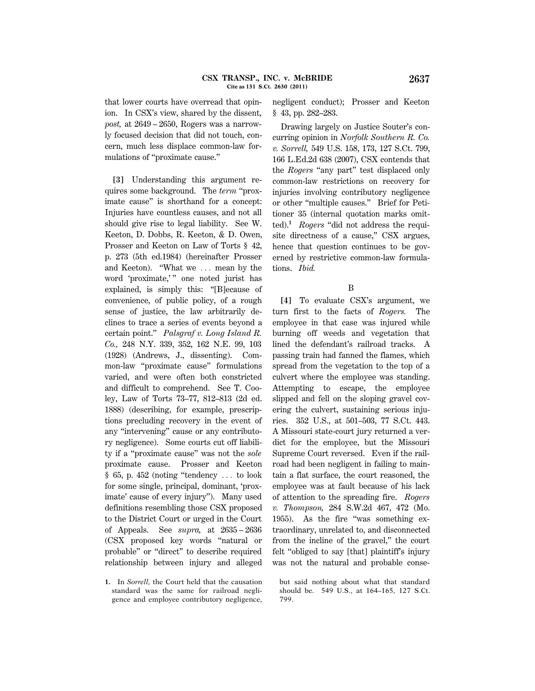that lower courts have overread that opinion. In CSX's view, shared by the dissent, *post,* at 2649 – 2650, Rogers was a narrowly focused decision that did not touch, concern, much less displace common-law formulations of ''proximate cause.''

**[3]** Understanding this argument requires some background. The *term* ''proximate cause'' is shorthand for a concept: Injuries have countless causes, and not all should give rise to legal liability. See W. Keeton, D. Dobbs, R. Keeton, & D. Owen, Prosser and Keeton on Law of Torts § 42, p. 273 (5th ed.1984) (hereinafter Prosser and Keeton). "What we  $\ldots$  mean by the word 'proximate,'" one noted jurist has explained, is simply this: ''[B]ecause of convenience, of public policy, of a rough sense of justice, the law arbitrarily declines to trace a series of events beyond a certain point.'' *Palsgraf v. Long Island R. Co.,* 248 N.Y. 339, 352, 162 N.E. 99, 103 (1928) (Andrews, J., dissenting). Common-law ''proximate cause'' formulations varied, and were often both constricted and difficult to comprehend. See T. Cooley, Law of Torts 73–77, 812–813 (2d ed. 1888) (describing, for example, prescriptions precluding recovery in the event of any ''intervening'' cause or any contributory negligence). Some courts cut off liability if a ''proximate cause'' was not the *sole* proximate cause. Prosser and Keeton  $§ 65$ , p. 452 (noting "tendency  $\ldots$  to look for some single, principal, dominant, 'proximate' cause of every injury''). Many used definitions resembling those CSX proposed to the District Court or urged in the Court of Appeals. See *supra,* at 2635 – 2636 (CSX proposed key words ''natural or probable'' or ''direct'' to describe required relationship between injury and alleged negligent conduct); Prosser and Keeton § 43, pp. 282–283.

Drawing largely on Justice Souter's concurring opinion in *Norfolk Southern R. Co. v. Sorrell,* 549 U.S. 158, 173, 127 S.Ct. 799, 166 L.Ed.2d 638 (2007), CSX contends that the *Rogers* "any part" test displaced only common-law restrictions on recovery for injuries involving contributory negligence or other ''multiple causes.'' Brief for Petitioner 35 (internal quotation marks omitted).**<sup>1</sup>** *Rogers* ''did not address the requisite directness of a cause," CSX argues, hence that question continues to be governed by restrictive common-law formulations. *Ibid.*

# B

**[4]** To evaluate CSX's argument, we turn first to the facts of *Rogers.* The employee in that case was injured while burning off weeds and vegetation that lined the defendant's railroad tracks. A passing train had fanned the flames, which spread from the vegetation to the top of a culvert where the employee was standing. Attempting to escape, the employee slipped and fell on the sloping gravel covering the culvert, sustaining serious injuries. 352 U.S., at 501–503, 77 S.Ct. 443. A Missouri state-court jury returned a verdict for the employee, but the Missouri Supreme Court reversed. Even if the railroad had been negligent in failing to maintain a flat surface, the court reasoned, the employee was at fault because of his lack of attention to the spreading fire. *Rogers v. Thompson,* 284 S.W.2d 467, 472 (Mo. 1955). As the fire ''was something extraordinary, unrelated to, and disconnected from the incline of the gravel,'' the court felt ''obliged to say [that] plaintiff's injury was not the natural and probable conse-

**<sup>1.</sup>** In *Sorrell,* the Court held that the causation standard was the same for railroad negligence and employee contributory negligence,

but said nothing about what that standard should be. 549 U.S., at 164–165, 127 S.Ct. 799.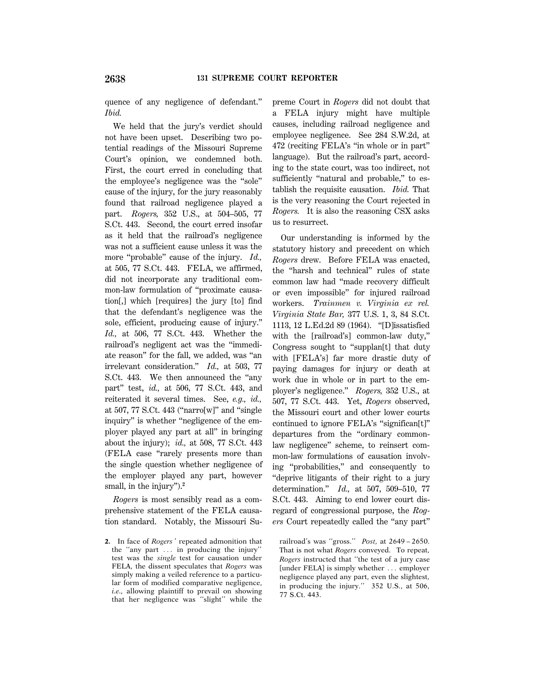quence of any negligence of defendant.'' *Ibid.*

We held that the jury's verdict should not have been upset. Describing two potential readings of the Missouri Supreme Court's opinion, we condemned both. First, the court erred in concluding that the employee's negligence was the ''sole'' cause of the injury, for the jury reasonably found that railroad negligence played a part. *Rogers,* 352 U.S., at 504–505, 77 S.Ct. 443. Second, the court erred insofar as it held that the railroad's negligence was not a sufficient cause unless it was the more "probable" cause of the injury. *Id.*, at 505, 77 S.Ct. 443. FELA, we affirmed, did not incorporate any traditional common-law formulation of ''proximate causation[,] which [requires] the jury [to] find that the defendant's negligence was the sole, efficient, producing cause of injury.'' *Id.,* at 506, 77 S.Ct. 443. Whether the railroad's negligent act was the ''immediate reason'' for the fall, we added, was ''an irrelevant consideration.'' *Id.,* at 503, 77 S.Ct. 443. We then announced the ''any part'' test, *id.,* at 506, 77 S.Ct. 443, and reiterated it several times. See, *e.g., id.,* at  $507$ ,  $77$  S.Ct.  $443$  ("narro[w]" and "single inquiry'' is whether ''negligence of the employer played any part at all'' in bringing about the injury); *id.,* at 508, 77 S.Ct. 443 (FELA case ''rarely presents more than the single question whether negligence of the employer played any part, however small, in the injury'').**<sup>2</sup>**

*Rogers* is most sensibly read as a comprehensive statement of the FELA causation standard. Notably, the Missouri Supreme Court in *Rogers* did not doubt that a FELA injury might have multiple causes, including railroad negligence and employee negligence. See 284 S.W.2d, at 472 (reciting FELA's ''in whole or in part'' language). But the railroad's part, according to the state court, was too indirect, not sufficiently "natural and probable," to establish the requisite causation. *Ibid.* That is the very reasoning the Court rejected in *Rogers.* It is also the reasoning CSX asks us to resurrect.

Our understanding is informed by the statutory history and precedent on which *Rogers* drew. Before FELA was enacted, the ''harsh and technical'' rules of state common law had ''made recovery difficult or even impossible'' for injured railroad workers. *Trainmen v. Virginia ex rel. Virginia State Bar,* 377 U.S. 1, 3, 84 S.Ct. 1113, 12 L.Ed.2d 89 (1964). ''[D]issatisfied with the [railroad's] common-law duty,'' Congress sought to ''supplan[t] that duty with [FELA's] far more drastic duty of paying damages for injury or death at work due in whole or in part to the employer's negligence.'' *Rogers,* 352 U.S., at 507, 77 S.Ct. 443. Yet, *Rogers* observed, the Missouri court and other lower courts continued to ignore FELA's ''significan[t]'' departures from the ''ordinary commonlaw negligence'' scheme, to reinsert common-law formulations of causation involving ''probabilities,'' and consequently to ''deprive litigants of their right to a jury determination.'' *Id.,* at 507, 509–510, 77 S.Ct. 443. Aiming to end lower court disregard of congressional purpose, the *Rogers* Court repeatedly called the ''any part''

**<sup>2.</sup>** In face of *Rogers* ' repeated admonition that the "any part  $\ldots$  in producing the injury" test was the *single* test for causation under FELA, the dissent speculates that *Rogers* was simply making a veiled reference to a particular form of modified comparative negligence, *i.e.,* allowing plaintiff to prevail on showing that her negligence was ''slight'' while the

railroad's was ''gross.'' *Post,* at 2649 – 2650. That is not what *Rogers* conveyed. To repeat, *Rogers* instructed that ''the test of a jury case [under FELA] is simply whether  $\ldots$  employer negligence played any part, even the slightest, in producing the injury.'' 352 U.S., at 506, 77 S.Ct. 443.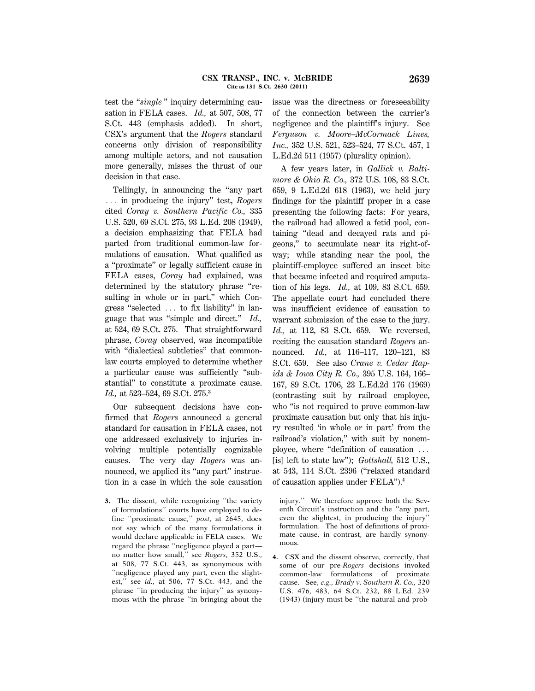test the "*single*" inquiry determining causation in FELA cases. *Id.,* at 507, 508, 77 S.Ct. 443 (emphasis added). In short, CSX's argument that the *Rogers* standard concerns only division of responsibility among multiple actors, and not causation more generally, misses the thrust of our decision in that case.

Tellingly, in announcing the ''any part ... in producing the injury" test, *Rogers* cited *Coray v. Southern Pacific Co.,* 335 U.S. 520, 69 S.Ct. 275, 93 L.Ed. 208 (1949), a decision emphasizing that FELA had parted from traditional common-law formulations of causation. What qualified as a ''proximate'' or legally sufficient cause in FELA cases, *Coray* had explained, was determined by the statutory phrase ''resulting in whole or in part," which Congress "selected ... to fix liability" in language that was ''simple and direct.'' *Id.,* at 524, 69 S.Ct. 275. That straightforward phrase, *Coray* observed, was incompatible with ''dialectical subtleties'' that commonlaw courts employed to determine whether a particular cause was sufficiently ''substantial'' to constitute a proximate cause. *Id.,* at 523–524, 69 S.Ct. 275.**<sup>3</sup>**

Our subsequent decisions have confirmed that *Rogers* announced a general standard for causation in FELA cases, not one addressed exclusively to injuries involving multiple potentially cognizable causes. The very day *Rogers* was announced, we applied its "any part" instruction in a case in which the sole causation

**3.** The dissent, while recognizing ''the variety of formulations'' courts have employed to define ''proximate cause,'' *post,* at 2645, does not say which of the many formulations it would declare applicable in FELA cases. We regard the phrase ''negligence played a part no matter how small,'' see *Rogers,* 352 U.S., at 508, 77 S.Ct. 443, as synonymous with ''negligence played any part, even the slightest,'' see *id.,* at 506, 77 S.Ct. 443, and the phrase ''in producing the injury'' as synonymous with the phrase ''in bringing about the issue was the directness or foreseeability of the connection between the carrier's negligence and the plaintiff's injury. See *Ferguson v. Moore–McCormack Lines, Inc.,* 352 U.S. 521, 523–524, 77 S.Ct. 457, 1 L.Ed.2d 511 (1957) (plurality opinion).

A few years later, in *Gallick v. Baltimore & Ohio R. Co.,* 372 U.S. 108, 83 S.Ct. 659, 9 L.Ed.2d 618 (1963), we held jury findings for the plaintiff proper in a case presenting the following facts: For years, the railroad had allowed a fetid pool, containing ''dead and decayed rats and pigeons,'' to accumulate near its right-ofway; while standing near the pool, the plaintiff-employee suffered an insect bite that became infected and required amputation of his legs. *Id.,* at 109, 83 S.Ct. 659. The appellate court had concluded there was insufficient evidence of causation to warrant submission of the case to the jury. *Id.,* at 112, 83 S.Ct. 659. We reversed, reciting the causation standard *Rogers* announced. *Id.,* at 116–117, 120–121, 83 S.Ct. 659. See also *Crane v. Cedar Rapids & Iowa City R. Co.,* 395 U.S. 164, 166– 167, 89 S.Ct. 1706, 23 L.Ed.2d 176 (1969) (contrasting suit by railroad employee, who "is not required to prove common-law proximate causation but only that his injury resulted 'in whole or in part' from the railroad's violation,'' with suit by nonemployee, where "definition of causation  $\ldots$ [is] left to state law''); *Gottshall,* 512 U.S., at 543, 114 S.Ct. 2396 (''relaxed standard of causation applies under FELA'').**<sup>4</sup>**

injury.'' We therefore approve both the Seventh Circuit's instruction and the ''any part, even the slightest, in producing the injury'' formulation. The host of definitions of proximate cause, in contrast, are hardly synonymous.

**4.** CSX and the dissent observe, correctly, that some of our pre-*Rogers* decisions invoked common-law formulations of proximate cause. See, *e.g., Brady v. Southern R. Co.,* 320 U.S. 476, 483, 64 S.Ct. 232, 88 L.Ed. 239 (1943) (injury must be ''the natural and prob-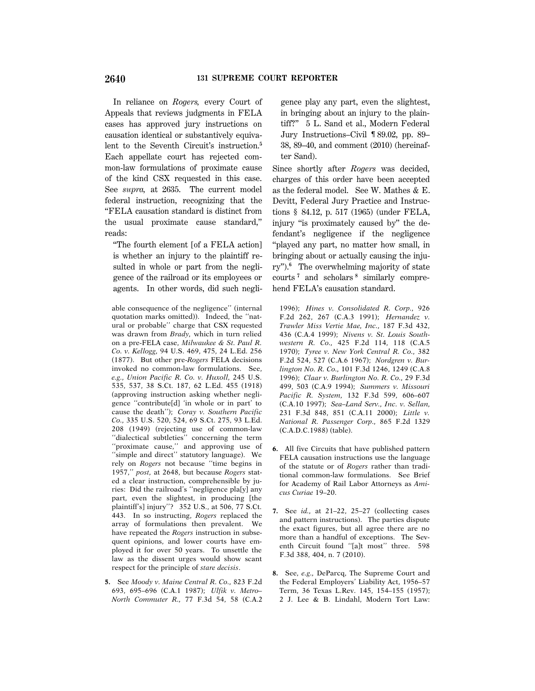In reliance on *Rogers,* every Court of Appeals that reviews judgments in FELA cases has approved jury instructions on causation identical or substantively equivalent to the Seventh Circuit's instruction.**<sup>5</sup>** Each appellate court has rejected common-law formulations of proximate cause of the kind CSX requested in this case. See *supra,* at 2635. The current model federal instruction, recognizing that the ''FELA causation standard is distinct from the usual proximate cause standard,'' reads:

''The fourth element [of a FELA action] is whether an injury to the plaintiff resulted in whole or part from the negligence of the railroad or its employees or agents. In other words, did such negli-

**5.** See *Moody v. Maine Central R. Co.,* 823 F.2d 693, 695–696 (C.A.1 1987); *Ulfik v. Metro– North Commuter R.,* 77 F.3d 54, 58 (C.A.2

gence play any part, even the slightest, in bringing about an injury to the plaintiff?'' 5 L. Sand et al., Modern Federal Jury Instructions–Civil ¶ 89.02, pp. 89– 38, 89–40, and comment (2010) (hereinafter Sand).

Since shortly after *Rogers* was decided, charges of this order have been accepted as the federal model. See W. Mathes & E. Devitt, Federal Jury Practice and Instructions § 84.12, p. 517 (1965) (under FELA, injury "is proximately caused by" the defendant's negligence if the negligence ''played any part, no matter how small, in bringing about or actually causing the injury'').**<sup>6</sup>** The overwhelming majority of state courts **<sup>7</sup>** and scholars **<sup>8</sup>** similarly comprehend FELA's causation standard.

1996); *Hines v. Consolidated R. Corp.,* 926 F.2d 262, 267 (C.A.3 1991); *Hernandez v. Trawler Miss Vertie Mae, Inc.,* 187 F.3d 432, 436 (C.A.4 1999); *Nivens v. St. Louis Southwestern R. Co.,* 425 F.2d 114, 118 (C.A.5 1970); *Tyree v. New York Central R. Co.,* 382 F.2d 524, 527 (C.A.6 1967); *Nordgren v. Burlington No. R. Co.,* 101 F.3d 1246, 1249 (C.A.8 1996); *Claar v. Burlington No. R. Co.,* 29 F.3d 499, 503 (C.A.9 1994); *Summers v. Missouri Pacific R. System,* 132 F.3d 599, 606–607 (C.A.10 1997); *Sea–Land Serv., Inc. v. Sellan,* 231 F.3d 848, 851 (C.A.11 2000); *Little v. National R. Passenger Corp.,* 865 F.2d 1329 (C.A.D.C.1988) (table).

- **6.** All five Circuits that have published pattern FELA causation instructions use the language of the statute or of *Rogers* rather than traditional common-law formulations. See Brief for Academy of Rail Labor Attorneys as *Amicus Curiae* 19–20.
- **7.** See *id.,* at 21–22, 25–27 (collecting cases and pattern instructions). The parties dispute the exact figures, but all agree there are no more than a handful of exceptions. The Seventh Circuit found ''[a]t most'' three. 598 F.3d 388, 404, n. 7 (2010).
- **8.** See, *e.g.,* DeParcq, The Supreme Court and the Federal Employers' Liability Act, 1956–57 Term, 36 Texas L.Rev. 145, 154–155 (1957); 2 J. Lee & B. Lindahl, Modern Tort Law:

able consequence of the negligence'' (internal quotation marks omitted)). Indeed, the ''natural or probable'' charge that CSX requested was drawn from *Brady,* which in turn relied on a pre-FELA case, *Milwaukee & St. Paul R. Co. v. Kellogg,* 94 U.S. 469, 475, 24 L.Ed. 256 (1877). But other pre-*Rogers* FELA decisions invoked no common-law formulations. See, *e.g., Union Pacific R. Co. v. Huxoll,* 245 U.S. 535, 537, 38 S.Ct. 187, 62 L.Ed. 455 (1918) (approving instruction asking whether negligence ''contribute[d] 'in whole or in part' to cause the death''); *Coray v. Southern Pacific Co.,* 335 U.S. 520, 524, 69 S.Ct. 275, 93 L.Ed. 208 (1949) (rejecting use of common-law ''dialectical subtleties'' concerning the term ''proximate cause,'' and approving use of ''simple and direct'' statutory language). We rely on *Rogers* not because ''time begins in 1957,'' *post,* at 2648, but because *Rogers* stated a clear instruction, comprehensible by juries: Did the railroad's ''negligence pla[y] any part, even the slightest, in producing [the plaintiff's] injury''? 352 U.S., at 506, 77 S.Ct. 443. In so instructing, *Rogers* replaced the array of formulations then prevalent. We have repeated the *Rogers* instruction in subsequent opinions, and lower courts have employed it for over 50 years. To unsettle the law as the dissent urges would show scant respect for the principle of *stare decisis*.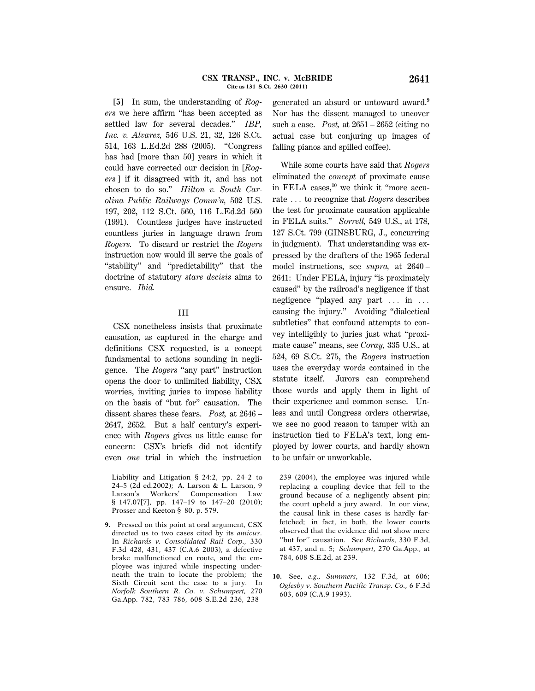**[5]** In sum, the understanding of *Rogers* we here affirm ''has been accepted as settled law for several decades.'' *IBP, Inc. v. Alvarez,* 546 U.S. 21, 32, 126 S.Ct. 514, 163 L.Ed.2d 288 (2005). ''Congress has had [more than 50] years in which it could have corrected our decision in [*Rogers* ] if it disagreed with it, and has not chosen to do so.'' *Hilton v. South Carolina Public Railways Comm'n,* 502 U.S. 197, 202, 112 S.Ct. 560, 116 L.Ed.2d 560 (1991). Countless judges have instructed countless juries in language drawn from *Rogers.* To discard or restrict the *Rogers* instruction now would ill serve the goals of ''stability'' and ''predictability'' that the doctrine of statutory *stare decisis* aims to ensure. *Ibid.*

### III

CSX nonetheless insists that proximate causation, as captured in the charge and definitions CSX requested, is a concept fundamental to actions sounding in negligence. The *Rogers* "any part" instruction opens the door to unlimited liability, CSX worries, inviting juries to impose liability on the basis of ''but for'' causation. The dissent shares these fears. *Post,* at 2646 – 2647, 2652. But a half century's experience with *Rogers* gives us little cause for concern: CSX's briefs did not identify even *one* trial in which the instruction

Liability and Litigation § 24:2, pp. 24–2 to 24–5 (2d ed.2002); A. Larson & L. Larson, 9 Larson's Workers' Compensation Law § 147.07[7], pp. 147-19 to 147-20 (2010); Prosser and Keeton § 80, p. 579.

**9.** Pressed on this point at oral argument, CSX directed us to two cases cited by its *amicus*. In *Richards v. Consolidated Rail Corp.,* 330 F.3d 428, 431, 437 (C.A.6 2003), a defective brake malfunctioned en route, and the employee was injured while inspecting underneath the train to locate the problem; the Sixth Circuit sent the case to a jury. In *Norfolk Southern R. Co. v. Schumpert,* 270 Ga.App. 782, 783–786, 608 S.E.2d 236, 238–

generated an absurd or untoward award.**<sup>9</sup>** Nor has the dissent managed to uncover such a case. *Post,* at 2651 – 2652 (citing no actual case but conjuring up images of falling pianos and spilled coffee).

While some courts have said that *Rogers* eliminated the *concept* of proximate cause in FELA cases,**10** we think it ''more accurate ... to recognize that *Rogers* describes the test for proximate causation applicable in FELA suits.'' *Sorrell,* 549 U.S., at 178, 127 S.Ct. 799 (GINSBURG, J., concurring in judgment). That understanding was expressed by the drafters of the 1965 federal model instructions, see *supra,* at 2640 – 2641: Under FELA, injury ''is proximately caused'' by the railroad's negligence if that negligence "played any part  $\ldots$  in  $\ldots$ causing the injury.'' Avoiding ''dialectical subtleties'' that confound attempts to convey intelligibly to juries just what ''proximate cause'' means, see *Coray,* 335 U.S., at 524, 69 S.Ct. 275, the *Rogers* instruction uses the everyday words contained in the statute itself. Jurors can comprehend those words and apply them in light of their experience and common sense. Unless and until Congress orders otherwise, we see no good reason to tamper with an instruction tied to FELA's text, long employed by lower courts, and hardly shown to be unfair or unworkable.

239 (2004), the employee was injured while replacing a coupling device that fell to the ground because of a negligently absent pin; the court upheld a jury award. In our view, the causal link in these cases is hardly farfetched; in fact, in both, the lower courts observed that the evidence did not show mere ''but for'' causation. See *Richards,* 330 F.3d, at 437, and n. 5; *Schumpert,* 270 Ga.App., at 784, 608 S.E.2d, at 239.

**10.** See, *e.g., Summers,* 132 F.3d, at 606; *Oglesby v. Southern Pacific Transp. Co.,* 6 F.3d 603, 609 (C.A.9 1993).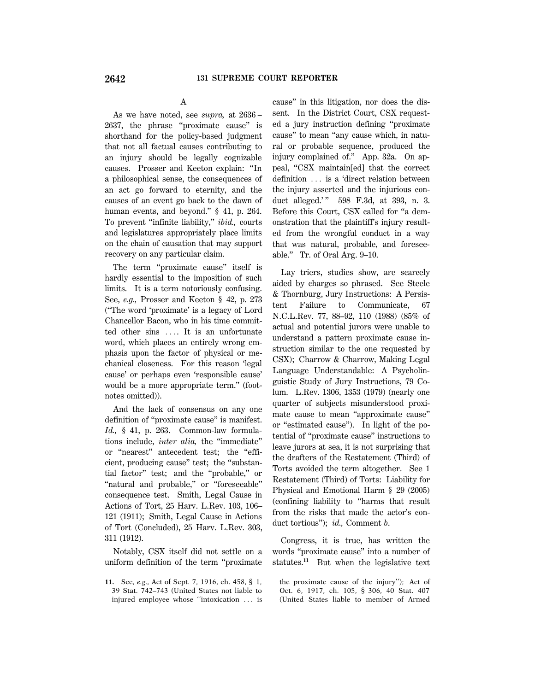# A

As we have noted, see *supra,* at 2636 – 2637, the phrase ''proximate cause'' is shorthand for the policy-based judgment that not all factual causes contributing to an injury should be legally cognizable causes. Prosser and Keeton explain: ''In a philosophical sense, the consequences of an act go forward to eternity, and the causes of an event go back to the dawn of human events, and beyond." § 41, p. 264. To prevent ''infinite liability,'' *ibid.,* courts and legislatures appropriately place limits on the chain of causation that may support recovery on any particular claim.

The term ''proximate cause'' itself is hardly essential to the imposition of such limits. It is a term notoriously confusing. See, *e.g.,* Prosser and Keeton § 42, p. 273 (''The word 'proximate' is a legacy of Lord Chancellor Bacon, who in his time committed other sins .... It is an unfortunate word, which places an entirely wrong emphasis upon the factor of physical or mechanical closeness. For this reason 'legal cause' or perhaps even 'responsible cause' would be a more appropriate term.'' (footnotes omitted)).

And the lack of consensus on any one definition of ''proximate cause'' is manifest. *Id.,* § 41, p. 263. Common-law formulations include, *inter alia,* the ''immediate'' or ''nearest'' antecedent test; the ''efficient, producing cause'' test; the ''substantial factor'' test; and the ''probable,'' or "natural and probable," or "foreseeable" consequence test. Smith, Legal Cause in Actions of Tort, 25 Harv. L.Rev. 103, 106– 121 (1911); Smith, Legal Cause in Actions of Tort (Concluded), 25 Harv. L.Rev. 303, 311 (1912).

Notably, CSX itself did not settle on a uniform definition of the term ''proximate

**11.** See, *e.g.,* Act of Sept. 7, 1916, ch. 458, § 1, 39 Stat. 742–743 (United States not liable to injured employee whose "intoxication ... is cause'' in this litigation, nor does the dissent. In the District Court, CSX requested a jury instruction defining ''proximate cause'' to mean ''any cause which, in natural or probable sequence, produced the injury complained of.'' App. 32a. On appeal, ''CSX maintain[ed] that the correct definition ... is a 'direct relation between the injury asserted and the injurious conduct alleged.'" 598 F.3d, at 393, n. 3. Before this Court, CSX called for ''a demonstration that the plaintiff's injury resulted from the wrongful conduct in a way that was natural, probable, and foreseeable.'' Tr. of Oral Arg. 9–10.

Lay triers, studies show, are scarcely aided by charges so phrased. See Steele & Thornburg, Jury Instructions: A Persistent Failure to Communicate, 67 N.C.L.Rev. 77, 88–92, 110 (1988) (85% of actual and potential jurors were unable to understand a pattern proximate cause instruction similar to the one requested by CSX); Charrow & Charrow, Making Legal Language Understandable: A Psycholinguistic Study of Jury Instructions, 79 Colum. L.Rev. 1306, 1353 (1979) (nearly one quarter of subjects misunderstood proximate cause to mean ''approximate cause'' or ''estimated cause''). In light of the potential of ''proximate cause'' instructions to leave jurors at sea, it is not surprising that the drafters of the Restatement (Third) of Torts avoided the term altogether. See 1 Restatement (Third) of Torts: Liability for Physical and Emotional Harm § 29 (2005) (confining liability to ''harms that result from the risks that made the actor's conduct tortious''); *id.,* Comment *b*.

Congress, it is true, has written the words ''proximate cause'' into a number of statutes.**<sup>11</sup>** But when the legislative text

the proximate cause of the injury''); Act of Oct. 6, 1917, ch. 105, § 306, 40 Stat. 407 (United States liable to member of Armed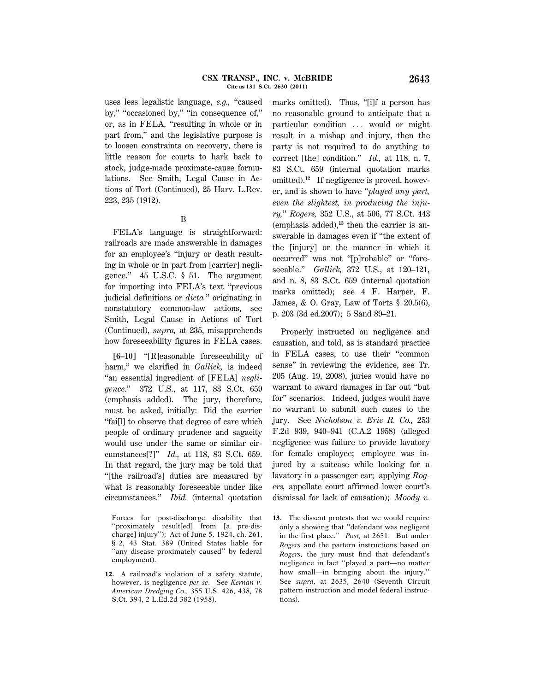uses less legalistic language, *e.g.,* ''caused by," "occasioned by," "in consequence of," or, as in FELA, ''resulting in whole or in part from,'' and the legislative purpose is to loosen constraints on recovery, there is little reason for courts to hark back to stock, judge-made proximate-cause formulations. See Smith, Legal Cause in Actions of Tort (Continued), 25 Harv. L.Rev. 223, 235 (1912).

#### B

FELA's language is straightforward: railroads are made answerable in damages for an employee's ''injury or death resulting in whole or in part from [carrier] negligence.'' 45 U.S.C. § 51. The argument for importing into FELA's text ''previous judicial definitions or *dicta* '' originating in nonstatutory common-law actions, see Smith, Legal Cause in Actions of Tort (Continued), *supra,* at 235, misapprehends how foreseeability figures in FELA cases.

**[6–10]** ''[R]easonable foreseeability of harm,'' we clarified in *Gallick,* is indeed ''an essential ingredient of [FELA] *negligence*.'' 372 U.S., at 117, 83 S.Ct. 659 (emphasis added). The jury, therefore, must be asked, initially: Did the carrier ''fai[l] to observe that degree of care which people of ordinary prudence and sagacity would use under the same or similar circumstances[?]'' *Id.,* at 118, 83 S.Ct. 659. In that regard, the jury may be told that ''[the railroad's] duties are measured by what is reasonably foreseeable under like circumstances.'' *Ibid.* (internal quotation

marks omitted). Thus, "[i]f a person has no reasonable ground to anticipate that a particular condition ... would or might result in a mishap and injury, then the party is not required to do anything to correct [the] condition.'' *Id.,* at 118, n. 7, 83 S.Ct. 659 (internal quotation marks omitted).**12** If negligence is proved, however, and is shown to have ''*played any part, even the slightest, in producing the injury,*'' *Rogers,* 352 U.S., at 506, 77 S.Ct. 443 (emphasis added),**13** then the carrier is answerable in damages even if ''the extent of the [injury] or the manner in which it occurred" was not "[p]robable" or "foreseeable.'' *Gallick,* 372 U.S., at 120–121, and n. 8, 83 S.Ct. 659 (internal quotation marks omitted); see 4 F. Harper, F. James, & O. Gray, Law of Torts  $\S$  20.5(6), p. 203 (3d ed.2007); 5 Sand 89–21.

Properly instructed on negligence and causation, and told, as is standard practice in FELA cases, to use their ''common sense'' in reviewing the evidence, see Tr. 205 (Aug. 19, 2008), juries would have no warrant to award damages in far out ''but for'' scenarios. Indeed, judges would have no warrant to submit such cases to the jury. See *Nicholson v. Erie R. Co.,* 253 F.2d 939, 940–941 (C.A.2 1958) (alleged negligence was failure to provide lavatory for female employee; employee was injured by a suitcase while looking for a lavatory in a passenger car; applying *Rogers,* appellate court affirmed lower court's dismissal for lack of causation); *Moody v.*

Forces for post-discharge disability that ''proximately result[ed] from [a pre-discharge] injury''); Act of June 5, 1924, ch. 261, § 2, 43 Stat. 389 (United States liable for "any disease proximately caused" by federal employment).

**<sup>12.</sup>** A railroad's violation of a safety statute, however, is negligence *per se*. See *Kernan v. American Dredging Co.,* 355 U.S. 426, 438, 78 S.Ct. 394, 2 L.Ed.2d 382 (1958).

**<sup>13.</sup>** The dissent protests that we would require only a showing that ''defendant was negligent in the first place.'' *Post,* at 2651. But under *Rogers* and the pattern instructions based on *Rogers,* the jury must find that defendant's negligence in fact ''played a part—no matter how small—in bringing about the injury.'' See *supra,* at 2635, 2640 (Seventh Circuit pattern instruction and model federal instructions).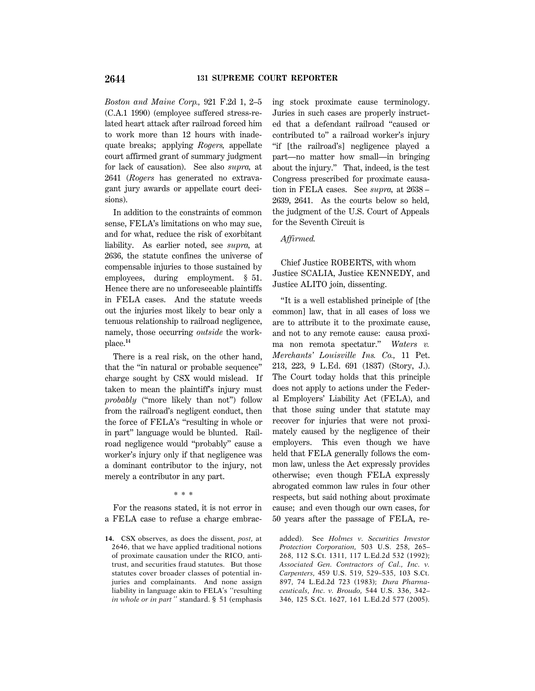*Boston and Maine Corp.,* 921 F.2d 1, 2–5 (C.A.1 1990) (employee suffered stress-related heart attack after railroad forced him to work more than 12 hours with inadequate breaks; applying *Rogers,* appellate court affirmed grant of summary judgment for lack of causation). See also *supra,* at 2641 (*Rogers* has generated no extravagant jury awards or appellate court decisions).

In addition to the constraints of common sense, FELA's limitations on who may sue, and for what, reduce the risk of exorbitant liability. As earlier noted, see *supra,* at 2636, the statute confines the universe of compensable injuries to those sustained by employees, during employment. § 51. Hence there are no unforeseeable plaintiffs in FELA cases. And the statute weeds out the injuries most likely to bear only a tenuous relationship to railroad negligence, namely, those occurring *outside* the workplace.**<sup>14</sup>**

There is a real risk, on the other hand, that the ''in natural or probable sequence'' charge sought by CSX would mislead. If taken to mean the plaintiff's injury must *probably* (''more likely than not'') follow from the railroad's negligent conduct, then the force of FELA's ''resulting in whole or in part'' language would be blunted. Railroad negligence would ''probably'' cause a worker's injury only if that negligence was a dominant contributor to the injury, not merely a contributor in any part.

#### \* \* \*

For the reasons stated, it is not error in a FELA case to refuse a charge embracing stock proximate cause terminology. Juries in such cases are properly instructed that a defendant railroad ''caused or contributed to'' a railroad worker's injury ''if [the railroad's] negligence played a part—no matter how small—in bringing about the injury.'' That, indeed, is the test Congress prescribed for proximate causation in FELA cases. See *supra,* at 2638 – 2639, 2641. As the courts below so held, the judgment of the U.S. Court of Appeals for the Seventh Circuit is

# *Affirmed.*

Chief Justice ROBERTS, with whom Justice SCALIA, Justice KENNEDY, and Justice ALITO join, dissenting.

''It is a well established principle of [the common] law, that in all cases of loss we are to attribute it to the proximate cause, and not to any remote cause: causa proxima non remota spectatur.'' *Waters v. Merchants' Louisville Ins. Co.,* 11 Pet. 213, 223, 9 L.Ed. 691 (1837) (Story, J.). The Court today holds that this principle does not apply to actions under the Federal Employers' Liability Act (FELA), and that those suing under that statute may recover for injuries that were not proximately caused by the negligence of their employers. This even though we have held that FELA generally follows the common law, unless the Act expressly provides otherwise; even though FELA expressly abrogated common law rules in four other respects, but said nothing about proximate cause; and even though our own cases, for 50 years after the passage of FELA, re-

added). See *Holmes v. Securities Investor Protection Corporation,* 503 U.S. 258, 265– 268, 112 S.Ct. 1311, 117 L.Ed.2d 532 (1992); *Associated Gen. Contractors of Cal., Inc. v. Carpenters,* 459 U.S. 519, 529–535, 103 S.Ct. 897, 74 L.Ed.2d 723 (1983); *Dura Pharmaceuticals, Inc. v. Broudo,* 544 U.S. 336, 342– 346, 125 S.Ct. 1627, 161 L.Ed.2d 577 (2005).

**<sup>14.</sup>** CSX observes, as does the dissent, *post,* at 2646, that we have applied traditional notions of proximate causation under the RICO, antitrust, and securities fraud statutes. But those statutes cover broader classes of potential injuries and complainants. And none assign liability in language akin to FELA's ''resulting *in whole or in part* '' standard. § 51 (emphasis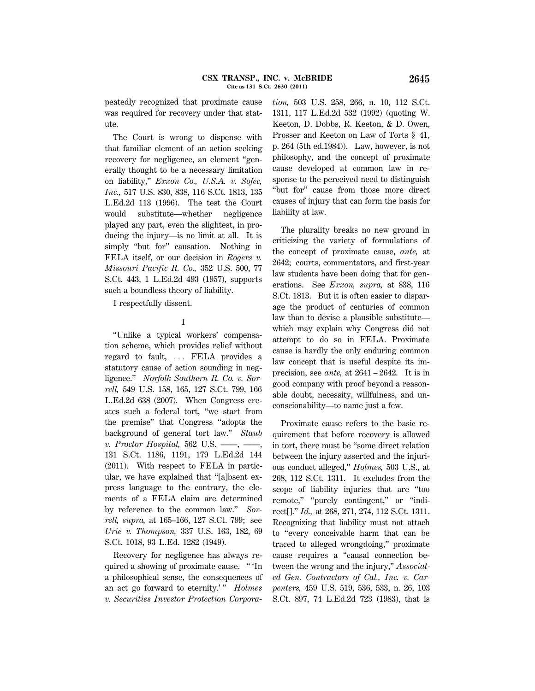peatedly recognized that proximate cause was required for recovery under that statute.

The Court is wrong to dispense with that familiar element of an action seeking recovery for negligence, an element ''generally thought to be a necessary limitation on liability,'' *Exxon Co., U.S.A. v. Sofec, Inc.,* 517 U.S. 830, 838, 116 S.Ct. 1813, 135 L.Ed.2d 113 (1996). The test the Court would substitute—whether negligence played any part, even the slightest, in producing the injury—is no limit at all. It is simply "but for" causation. Nothing in FELA itself, or our decision in *Rogers v. Missouri Pacific R. Co.,* 352 U.S. 500, 77 S.Ct. 443, 1 L.Ed.2d 493 (1957), supports such a boundless theory of liability.

I respectfully dissent.

# I

''Unlike a typical workers' compensation scheme, which provides relief without regard to fault, ... FELA provides a statutory cause of action sounding in negligence.'' *Norfolk Southern R. Co. v. Sorrell,* 549 U.S. 158, 165, 127 S.Ct. 799, 166 L.Ed.2d 638 (2007). When Congress creates such a federal tort, ''we start from the premise'' that Congress ''adopts the background of general tort law.'' *Staub v. Proctor Hospital,* 562 U.S. ––––, ––––, 131 S.Ct. 1186, 1191, 179 L.Ed.2d 144 (2011). With respect to FELA in particular, we have explained that ''[a]bsent express language to the contrary, the elements of a FELA claim are determined by reference to the common law.'' *Sorrell, supra,* at 165–166, 127 S.Ct. 799; see *Urie v. Thompson,* 337 U.S. 163, 182, 69 S.Ct. 1018, 93 L.Ed. 1282 (1949).

Recovery for negligence has always required a showing of proximate cause. '' 'In a philosophical sense, the consequences of an act go forward to eternity.'" *Holmes v. Securities Investor Protection Corpora*- *tion,* 503 U.S. 258, 266, n. 10, 112 S.Ct. 1311, 117 L.Ed.2d 532 (1992) (quoting W. Keeton, D. Dobbs, R. Keeton, & D. Owen, Prosser and Keeton on Law of Torts § 41, p. 264 (5th ed.1984)). Law, however, is not philosophy, and the concept of proximate cause developed at common law in response to the perceived need to distinguish ''but for'' cause from those more direct causes of injury that can form the basis for liability at law.

The plurality breaks no new ground in criticizing the variety of formulations of the concept of proximate cause, *ante,* at 2642; courts, commentators, and first-year law students have been doing that for generations. See *Exxon, supra,* at 838, 116 S.Ct. 1813. But it is often easier to disparage the product of centuries of common law than to devise a plausible substitute which may explain why Congress did not attempt to do so in FELA. Proximate cause is hardly the only enduring common law concept that is useful despite its imprecision, see *ante,* at 2641 – 2642. It is in good company with proof beyond a reasonable doubt, necessity, willfulness, and unconscionability—to name just a few.

Proximate cause refers to the basic requirement that before recovery is allowed in tort, there must be ''some direct relation between the injury asserted and the injurious conduct alleged,'' *Holmes,* 503 U.S., at 268, 112 S.Ct. 1311. It excludes from the scope of liability injuries that are ''too remote," "purely contingent," or "indirect[].'' *Id.,* at 268, 271, 274, 112 S.Ct. 1311. Recognizing that liability must not attach to ''every conceivable harm that can be traced to alleged wrongdoing,'' proximate cause requires a ''causal connection between the wrong and the injury,'' *Associated Gen. Contractors of Cal., Inc. v. Carpenters,* 459 U.S. 519, 536, 533, n. 26, 103 S.Ct. 897, 74 L.Ed.2d 723 (1983), that is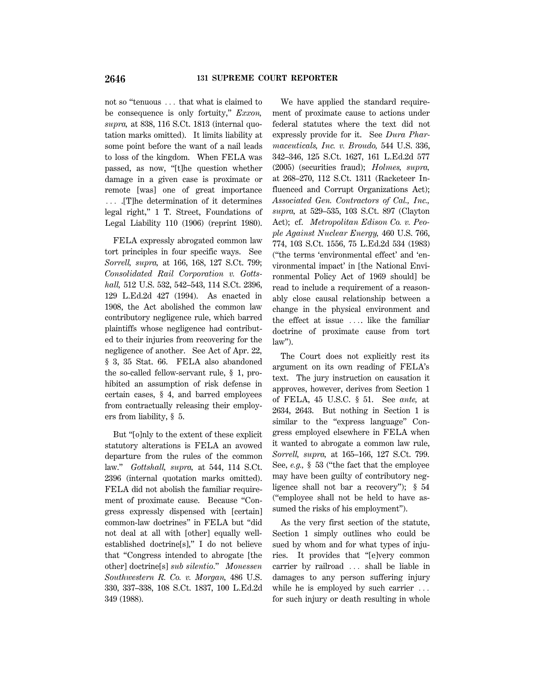not so "tenuous ... that what is claimed to be consequence is only fortuity,'' *Exxon, supra,* at 838, 116 S.Ct. 1813 (internal quotation marks omitted). It limits liability at some point before the want of a nail leads to loss of the kingdom. When FELA was passed, as now, ''[t]he question whether damage in a given case is proximate or remote [was] one of great importance  $\ldots$  . [T]he determination of it determines legal right,'' 1 T. Street, Foundations of Legal Liability 110 (1906) (reprint 1980).

FELA expressly abrogated common law tort principles in four specific ways. See *Sorrell, supra,* at 166, 168, 127 S.Ct. 799; *Consolidated Rail Corporation v. Gottshall,* 512 U.S. 532, 542–543, 114 S.Ct. 2396, 129 L.Ed.2d 427 (1994). As enacted in 1908, the Act abolished the common law contributory negligence rule, which barred plaintiffs whose negligence had contributed to their injuries from recovering for the negligence of another. See Act of Apr. 22, § 3, 35 Stat. 66. FELA also abandoned the so-called fellow-servant rule, § 1, prohibited an assumption of risk defense in certain cases, § 4, and barred employees from contractually releasing their employers from liability, § 5.

But ''[o]nly to the extent of these explicit statutory alterations is FELA an avowed departure from the rules of the common law.'' *Gottshall, supra,* at 544, 114 S.Ct. 2396 (internal quotation marks omitted). FELA did not abolish the familiar requirement of proximate cause. Because "Congress expressly dispensed with [certain] common-law doctrines'' in FELA but ''did not deal at all with [other] equally wellestablished doctrine[s],'' I do not believe that ''Congress intended to abrogate [the other] doctrine[s] *sub silentio*.'' *Monessen Southwestern R. Co. v. Morgan,* 486 U.S. 330, 337–338, 108 S.Ct. 1837, 100 L.Ed.2d 349 (1988).

We have applied the standard requirement of proximate cause to actions under federal statutes where the text did not expressly provide for it. See *Dura Pharmaceuticals, Inc. v. Broudo,* 544 U.S. 336, 342–346, 125 S.Ct. 1627, 161 L.Ed.2d 577 (2005) (securities fraud); *Holmes, supra,* at 268–270, 112 S.Ct. 1311 (Racketeer Influenced and Corrupt Organizations Act); *Associated Gen. Contractors of Cal., Inc., supra,* at 529–535, 103 S.Ct. 897 (Clayton Act); cf. *Metropolitan Edison Co. v. People Against Nuclear Energy,* 460 U.S. 766, 774, 103 S.Ct. 1556, 75 L.Ed.2d 534 (1983) (''the terms 'environmental effect' and 'environmental impact' in [the National Environmental Policy Act of 1969 should] be read to include a requirement of a reasonably close causal relationship between a change in the physical environment and the effect at issue  $\ldots$  like the familiar doctrine of proximate cause from tort law'').

The Court does not explicitly rest its argument on its own reading of FELA's text. The jury instruction on causation it approves, however, derives from Section 1 of FELA, 45 U.S.C. § 51. See *ante,* at 2634, 2643. But nothing in Section 1 is similar to the "express language" Congress employed elsewhere in FELA when it wanted to abrogate a common law rule, *Sorrell, supra,* at 165–166, 127 S.Ct. 799. See, *e.g.,* § 53 (''the fact that the employee may have been guilty of contributory negligence shall not bar a recovery''); § 54 (''employee shall not be held to have assumed the risks of his employment'').

As the very first section of the statute, Section 1 simply outlines who could be sued by whom and for what types of injuries. It provides that ''[e]very common carrier by railroad ... shall be liable in damages to any person suffering injury while he is employed by such carrier  $\ldots$ for such injury or death resulting in whole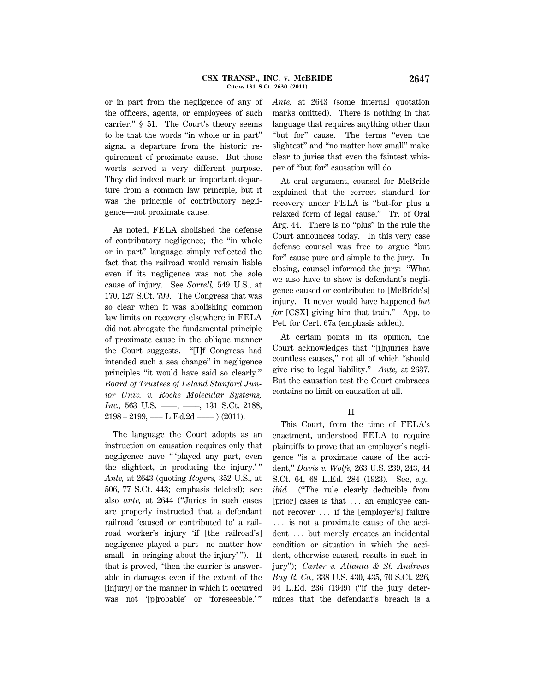#### **CSX TRANSP., INC. v. McBRIDE 2647 Cite as 131 S.Ct. 2630 (2011)**

or in part from the negligence of any of the officers, agents, or employees of such carrier.'' § 51. The Court's theory seems to be that the words ''in whole or in part'' signal a departure from the historic requirement of proximate cause. But those words served a very different purpose. They did indeed mark an important departure from a common law principle, but it was the principle of contributory negligence—not proximate cause.

As noted, FELA abolished the defense of contributory negligence; the ''in whole or in part'' language simply reflected the fact that the railroad would remain liable even if its negligence was not the sole cause of injury. See *Sorrell,* 549 U.S., at 170, 127 S.Ct. 799. The Congress that was so clear when it was abolishing common law limits on recovery elsewhere in FELA did not abrogate the fundamental principle of proximate cause in the oblique manner the Court suggests. ''[I]f Congress had intended such a sea change'' in negligence principles ''it would have said so clearly.'' *Board of Trustees of Leland Stanford Junior Univ. v. Roche Molecular Systems, Inc.*, 563 U.S. ——, ——, 131 S.Ct. 2188,  $2198 - 2199$ , — L.Ed.2d —  $(2011)$ .

The language the Court adopts as an instruction on causation requires only that negligence have '' 'played any part, even the slightest, in producing the injury.' '' *Ante,* at 2643 (quoting *Rogers,* 352 U.S., at 506, 77 S.Ct. 443; emphasis deleted); see also *ante,* at 2644 (''Juries in such cases are properly instructed that a defendant railroad 'caused or contributed to' a railroad worker's injury 'if [the railroad's] negligence played a part—no matter how small—in bringing about the injury'". If that is proved, ''then the carrier is answerable in damages even if the extent of the [injury] or the manner in which it occurred was not '[p]robable' or 'foreseeable.' ''

*Ante,* at 2643 (some internal quotation marks omitted). There is nothing in that language that requires anything other than "but for" cause. The terms "even the slightest'' and ''no matter how small'' make clear to juries that even the faintest whisper of ''but for'' causation will do.

At oral argument, counsel for McBride explained that the correct standard for recovery under FELA is ''but-for plus a relaxed form of legal cause.'' Tr. of Oral Arg. 44. There is no ''plus'' in the rule the Court announces today. In this very case defense counsel was free to argue ''but for'' cause pure and simple to the jury. In closing, counsel informed the jury: ''What we also have to show is defendant's negligence caused or contributed to [McBride's] injury. It never would have happened *but for* [CSX] giving him that train.'' App. to Pet. for Cert. 67a (emphasis added).

At certain points in its opinion, the Court acknowledges that ''[i]njuries have countless causes,'' not all of which ''should give rise to legal liability.'' *Ante,* at 2637. But the causation test the Court embraces contains no limit on causation at all.

## II

This Court, from the time of FELA's enactment, understood FELA to require plaintiffs to prove that an employer's negligence ''is a proximate cause of the accident,'' *Davis v. Wolfe,* 263 U.S. 239, 243, 44 S.Ct. 64, 68 L.Ed. 284 (1923). See, *e.g.,* ibid. ("The rule clearly deducible from [prior] cases is that  $\ldots$  an employee cannot recover  $\ldots$  if the [employer's] failure  $\ldots$  is not a proximate cause of the accident ... but merely creates an incidental condition or situation in which the accident, otherwise caused, results in such injury''); *Carter v. Atlanta & St. Andrews Bay R. Co.,* 338 U.S. 430, 435, 70 S.Ct. 226, 94 L.Ed. 236 (1949) (''if the jury determines that the defendant's breach is a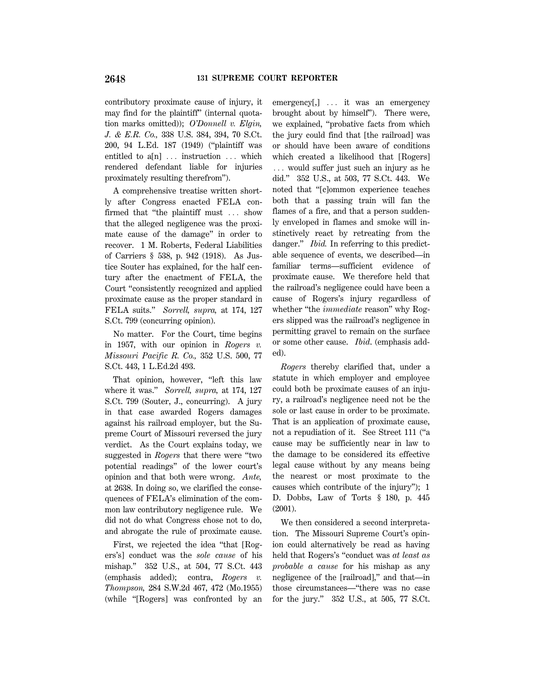contributory proximate cause of injury, it may find for the plaintiff'' (internal quotation marks omitted)); *O'Donnell v. Elgin, J. & E.R. Co.,* 338 U.S. 384, 394, 70 S.Ct. 200, 94 L.Ed. 187 (1949) (''plaintiff was entitled to  $a[n]$   $\ldots$  instruction  $\ldots$  which rendered defendant liable for injuries proximately resulting therefrom'').

A comprehensive treatise written shortly after Congress enacted FELA confirmed that "the plaintiff must  $\ldots$  show that the alleged negligence was the proximate cause of the damage'' in order to recover. 1 M. Roberts, Federal Liabilities of Carriers § 538, p. 942 (1918). As Justice Souter has explained, for the half century after the enactment of FELA, the Court ''consistently recognized and applied proximate cause as the proper standard in FELA suits.'' *Sorrell, supra,* at 174, 127 S.Ct. 799 (concurring opinion).

No matter. For the Court, time begins in 1957, with our opinion in *Rogers v. Missouri Pacific R. Co.,* 352 U.S. 500, 77 S.Ct. 443, 1 L.Ed.2d 493.

That opinion, however, "left this law where it was.'' *Sorrell, supra,* at 174, 127 S.Ct. 799 (Souter, J., concurring). A jury in that case awarded Rogers damages against his railroad employer, but the Supreme Court of Missouri reversed the jury verdict. As the Court explains today, we suggested in *Rogers* that there were ''two potential readings'' of the lower court's opinion and that both were wrong. *Ante,* at 2638. In doing so, we clarified the consequences of FELA's elimination of the common law contributory negligence rule. We did not do what Congress chose not to do, and abrogate the rule of proximate cause.

First, we rejected the idea "that [Rogers's] conduct was the *sole cause* of his mishap.'' 352 U.S., at 504, 77 S.Ct. 443 (emphasis added); contra, *Rogers v. Thompson,* 284 S.W.2d 467, 472 (Mo.1955) (while ''[Rogers] was confronted by an  $emergency[,$ ]  $\ldots$  it was an emergency brought about by himself''). There were, we explained, ''probative facts from which the jury could find that [the railroad] was or should have been aware of conditions which created a likelihood that [Rogers]  $\ldots$  would suffer just such an injury as he did.'' 352 U.S., at 503, 77 S.Ct. 443. We noted that ''[c]ommon experience teaches both that a passing train will fan the flames of a fire, and that a person suddenly enveloped in flames and smoke will instinctively react by retreating from the danger." *Ibid.* In referring to this predictable sequence of events, we described—in familiar terms—sufficient evidence of proximate cause. We therefore held that the railroad's negligence could have been a cause of Rogers's injury regardless of whether ''the *immediate* reason'' why Rogers slipped was the railroad's negligence in permitting gravel to remain on the surface or some other cause. *Ibid*. (emphasis added).

*Rogers* thereby clarified that, under a statute in which employer and employee could both be proximate causes of an injury, a railroad's negligence need not be the sole or last cause in order to be proximate. That is an application of proximate cause, not a repudiation of it. See Street 111 (''a cause may be sufficiently near in law to the damage to be considered its effective legal cause without by any means being the nearest or most proximate to the causes which contribute of the injury''); 1 D. Dobbs, Law of Torts § 180, p. 445 (2001).

We then considered a second interpretation. The Missouri Supreme Court's opinion could alternatively be read as having held that Rogers's ''conduct was *at least as probable a cause* for his mishap as any negligence of the [railroad],'' and that—in those circumstances—''there was no case for the jury.'' 352 U.S., at 505, 77 S.Ct.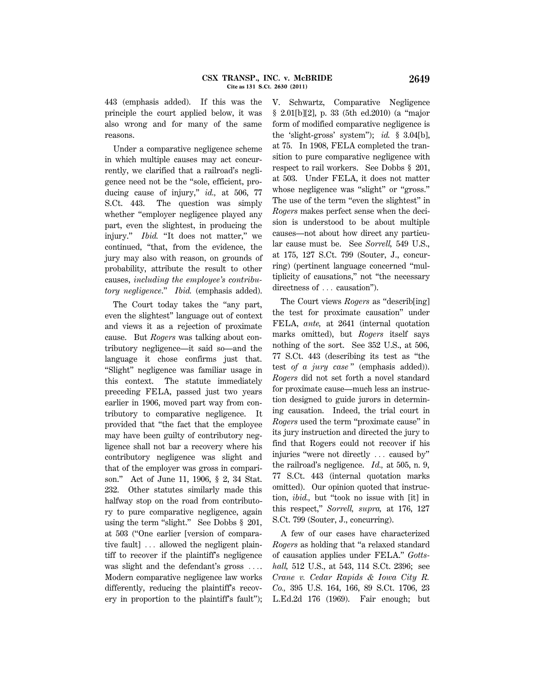443 (emphasis added). If this was the principle the court applied below, it was also wrong and for many of the same reasons.

Under a comparative negligence scheme in which multiple causes may act concurrently, we clarified that a railroad's negligence need not be the ''sole, efficient, producing cause of injury," *id.*, at 506, 77 S.Ct. 443. The question was simply whether "employer negligence played any part, even the slightest, in producing the injury." *Ibid.* "It does not matter," we continued, ''that, from the evidence, the jury may also with reason, on grounds of probability, attribute the result to other causes, *including the employee's contributory negligence*.'' *Ibid.* (emphasis added).

The Court today takes the "any part, even the slightest'' language out of context and views it as a rejection of proximate cause. But *Rogers* was talking about contributory negligence—it said so—and the language it chose confirms just that. ''Slight'' negligence was familiar usage in this context. The statute immediately preceding FELA, passed just two years earlier in 1906, moved part way from contributory to comparative negligence. It provided that ''the fact that the employee may have been guilty of contributory negligence shall not bar a recovery where his contributory negligence was slight and that of the employer was gross in comparison.'' Act of June 11, 1906, § 2, 34 Stat. 232. Other statutes similarly made this halfway stop on the road from contributory to pure comparative negligence, again using the term "slight." See Dobbs § 201, at 503 (''One earlier [version of comparative fault]  $\ldots$  allowed the negligent plaintiff to recover if the plaintiff's negligence was slight and the defendant's gross  $\ldots$ Modern comparative negligence law works differently, reducing the plaintiff's recovery in proportion to the plaintiff's fault''); V. Schwartz, Comparative Negligence § 2.01[b][2], p. 33 (5th ed.2010) (a "major form of modified comparative negligence is the 'slight-gross' system''); *id.* § 3.04[b], at 75. In 1908, FELA completed the transition to pure comparative negligence with respect to rail workers. See Dobbs § 201, at 503. Under FELA, it does not matter whose negligence was "slight" or "gross." The use of the term "even the slightest" in *Rogers* makes perfect sense when the decision is understood to be about multiple causes—not about how direct any particular cause must be. See *Sorrell,* 549 U.S., at 175, 127 S.Ct. 799 (Souter, J., concurring) (pertinent language concerned ''multiplicity of causations,'' not ''the necessary directness of  $\ldots$  causation").

The Court views *Rogers* as ''describ[ing] the test for proximate causation'' under FELA, *ante,* at 2641 (internal quotation marks omitted), but *Rogers* itself says nothing of the sort. See 352 U.S., at 506, 77 S.Ct. 443 (describing its test as ''the test *of a jury case* '' (emphasis added)). *Rogers* did not set forth a novel standard for proximate cause—much less an instruction designed to guide jurors in determining causation. Indeed, the trial court in *Rogers* used the term ''proximate cause'' in its jury instruction and directed the jury to find that Rogers could not recover if his injuries "were not directly  $\ldots$  caused by" the railroad's negligence. *Id.,* at 505, n. 9, 77 S.Ct. 443 (internal quotation marks omitted). Our opinion quoted that instruction, *ibid.,* but ''took no issue with [it] in this respect,'' *Sorrell, supra,* at 176, 127 S.Ct. 799 (Souter, J., concurring).

A few of our cases have characterized *Rogers* as holding that ''a relaxed standard of causation applies under FELA.'' *Gottshall,* 512 U.S., at 543, 114 S.Ct. 2396; see *Crane v. Cedar Rapids & Iowa City R. Co.,* 395 U.S. 164, 166, 89 S.Ct. 1706, 23 L.Ed.2d 176 (1969). Fair enough; but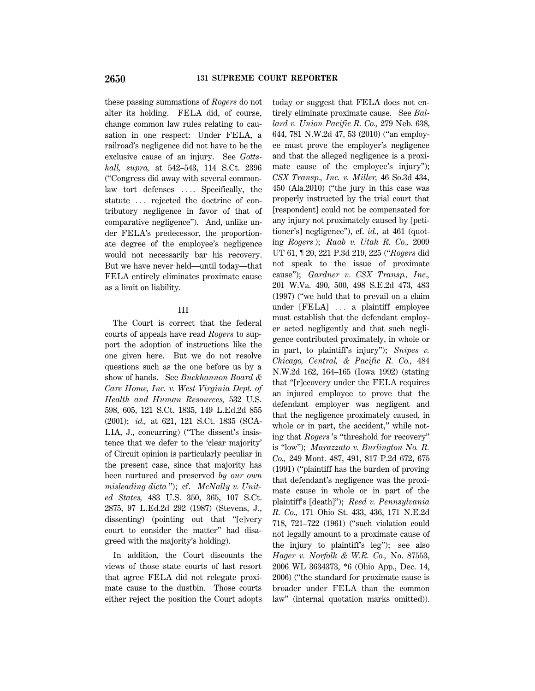these passing summations of *Rogers* do not alter its holding. FELA did, of course, change common law rules relating to causation in one respect: Under FELA, a railroad's negligence did not have to be the exclusive cause of an injury. See *Gottshall, supra,* at 542–543, 114 S.Ct. 2396 (''Congress did away with several commonlaw tort defenses .... Specifically, the statute ... rejected the doctrine of contributory negligence in favor of that of comparative negligence''). And, unlike under FELA's predecessor, the proportionate degree of the employee's negligence would not necessarily bar his recovery. But we have never held—until today—that FELA entirely eliminates proximate cause as a limit on liability.

### III

The Court is correct that the federal courts of appeals have read *Rogers* to support the adoption of instructions like the one given here. But we do not resolve questions such as the one before us by a show of hands. See *Buckhannon Board & Care Home, Inc. v. West Virginia Dept. of Health and Human Resources,* 532 U.S. 598, 605, 121 S.Ct. 1835, 149 L.Ed.2d 855 (2001); *id.,* at 621, 121 S.Ct. 1835 (SCA-LIA, J., concurring) (''The dissent's insistence that we defer to the 'clear majority' of Circuit opinion is particularly peculiar in the present case, since that majority has been nurtured and preserved *by our own misleading dicta* ''); cf. *McNally v. United States,* 483 U.S. 350, 365, 107 S.Ct. 2875, 97 L.Ed.2d 292 (1987) (Stevens, J., dissenting) (pointing out that ''[e]very court to consider the matter'' had disagreed with the majority's holding).

In addition, the Court discounts the views of those state courts of last resort that agree FELA did not relegate proximate cause to the dustbin. Those courts either reject the position the Court adopts

today or suggest that FELA does not entirely eliminate proximate cause. See *Ballard v. Union Pacific R. Co.,* 279 Neb. 638, 644, 781 N.W.2d 47, 53 (2010) (''an employee must prove the employer's negligence and that the alleged negligence is a proximate cause of the employee's injury''); *CSX Transp., Inc. v. Miller,* 46 So.3d 434, 450 (Ala.2010) (''the jury in this case was properly instructed by the trial court that [respondent] could not be compensated for any injury not proximately caused by [petitioner's] negligence''), cf. *id.,* at 461 (quoting *Rogers* ); *Raab v. Utah R. Co.,* 2009 UT 61, ¶ 20, 221 P.3d 219, 225 (''*Rogers* did not speak to the issue of proximate cause''); *Gardner v. CSX Transp., Inc.,* 201 W.Va. 490, 500, 498 S.E.2d 473, 483 (1997) (''we hold that to prevail on a claim under  $[{\rm FELA}]$   $\ldots$  a plaintiff employee must establish that the defendant employer acted negligently and that such negligence contributed proximately, in whole or in part, to plaintiff's injury''); *Snipes v. Chicago, Central, & Pacific R. Co.,* 484 N.W.2d 162, 164–165 (Iowa 1992) (stating that ''[r]ecovery under the FELA requires an injured employee to prove that the defendant employer was negligent and that the negligence proximately caused, in whole or in part, the accident," while noting that *Rogers* 's ''threshold for recovery'' is ''low''); *Marazzato v. Burlington No. R. Co.,* 249 Mont. 487, 491, 817 P.2d 672, 675 (1991) (''plaintiff has the burden of proving that defendant's negligence was the proximate cause in whole or in part of the plaintiff's [death]''); *Reed v. Pennsylvania R. Co.,* 171 Ohio St. 433, 436, 171 N.E.2d 718, 721–722 (1961) (''such violation could not legally amount to a proximate cause of the injury to plaintiff's leg''); see also *Hager v. Norfolk & W.R. Co.,* No. 87553, 2006 WL 3634373, \*6 (Ohio App., Dec. 14, 2006) (''the standard for proximate cause is broader under FELA than the common law'' (internal quotation marks omitted)).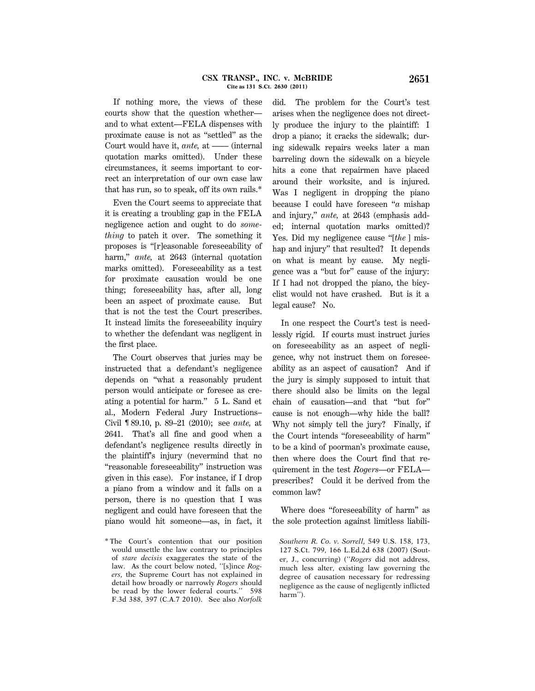If nothing more, the views of these courts show that the question whether and to what extent—FELA dispenses with proximate cause is not as ''settled'' as the Court would have it, *ante*, at —— (internal quotation marks omitted). Under these circumstances, it seems important to correct an interpretation of our own case law that has run, so to speak, off its own rails.\*

Even the Court seems to appreciate that it is creating a troubling gap in the FELA negligence action and ought to do *something* to patch it over. The something it proposes is ''[r]easonable foreseeability of harm,'' *ante,* at 2643 (internal quotation marks omitted). Foreseeability as a test for proximate causation would be one thing; foreseeability has, after all, long been an aspect of proximate cause. But that is not the test the Court prescribes. It instead limits the foreseeability inquiry to whether the defendant was negligent in the first place.

The Court observes that juries may be instructed that a defendant's negligence depends on ''what a reasonably prudent person would anticipate or foresee as creating a potential for harm.'' 5 L. Sand et al., Modern Federal Jury Instructions– Civil ¶ 89.10, p. 89–21 (2010); see *ante,* at 2641. That's all fine and good when a defendant's negligence results directly in the plaintiff's injury (nevermind that no ''reasonable foreseeability'' instruction was given in this case). For instance, if I drop a piano from a window and it falls on a person, there is no question that I was negligent and could have foreseen that the piano would hit someone—as, in fact, it did. The problem for the Court's test arises when the negligence does not directly produce the injury to the plaintiff: I drop a piano; it cracks the sidewalk; during sidewalk repairs weeks later a man barreling down the sidewalk on a bicycle hits a cone that repairmen have placed around their worksite, and is injured. Was I negligent in dropping the piano because I could have foreseen ''*a* mishap and injury,'' *ante,* at 2643 (emphasis added; internal quotation marks omitted)? Yes. Did my negligence cause ''[*the* ] mishap and injury'' that resulted? It depends on what is meant by cause. My negligence was a ''but for'' cause of the injury: If I had not dropped the piano, the bicyclist would not have crashed. But is it a legal cause? No.

In one respect the Court's test is needlessly rigid. If courts must instruct juries on foreseeability as an aspect of negligence, why not instruct them on foreseeability as an aspect of causation? And if the jury is simply supposed to intuit that there should also be limits on the legal chain of causation—and that ''but for'' cause is not enough—why hide the ball? Why not simply tell the jury? Finally, if the Court intends ''foreseeability of harm'' to be a kind of poorman's proximate cause, then where does the Court find that requirement in the test *Rogers*—or FELA prescribes? Could it be derived from the common law?

Where does ''foreseeability of harm'' as the sole protection against limitless liabili-

<sup>\*</sup> The Court's contention that our position would unsettle the law contrary to principles of *stare decisis* exaggerates the state of the law. As the court below noted, ''[s]ince *Rogers,* the Supreme Court has not explained in detail how broadly or narrowly *Rogers* should be read by the lower federal courts.'' 598 F.3d 388, 397 (C.A.7 2010). See also *Norfolk*

*Southern R. Co. v. Sorrell,* 549 U.S. 158, 173, 127 S.Ct. 799, 166 L.Ed.2d 638 (2007) (Souter, J., concurring) (''*Rogers* did not address, much less alter, existing law governing the degree of causation necessary for redressing negligence as the cause of negligently inflicted harm'').